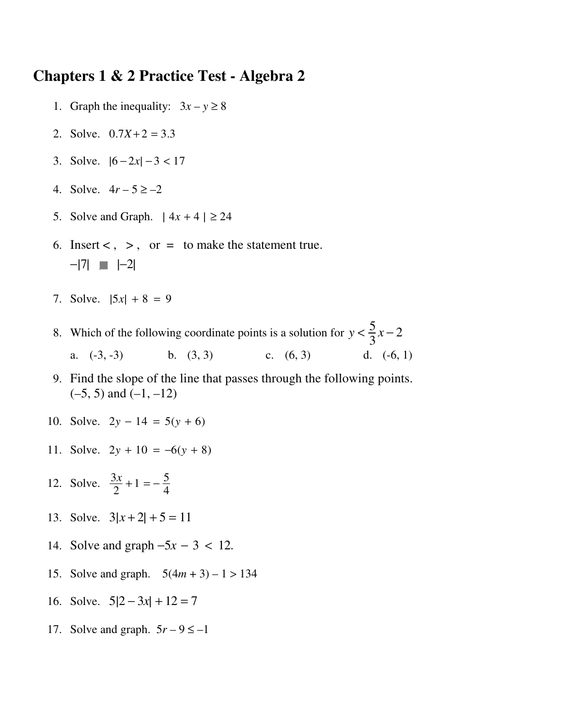## **Chapters 1 & 2 Practice Test - Algebra 2**

- 1. Graph the inequality:  $3x y \ge 8$
- 2. Solve.  $0.7X + 2 = 3.3$
- 3. Solve.  $|6 2x| 3 < 17$
- 4. Solve.  $4r 5 \ge -2$
- 5. Solve and Graph.  $| 4x + 4 | \ge 24$
- 6. Insert  $\lt$ ,  $\gt$ , or = to make the statement true.  $-|7|$   $\blacksquare$   $|-2|$
- 7. Solve.  $|5x| + 8 = 9$

8. Which of the following coordinate points is a solution for  $y < \frac{5}{3}$ 3 *x* − 2 a. (-3, -3) b. (3, 3) c. (6, 3) d. (-6, 1)

- 9. Find the slope of the line that passes through the following points.  $(-5, 5)$  and  $(-1, -12)$
- 10. Solve.  $2y 14 = 5(y + 6)$
- 11. Solve.  $2y + 10 = -6(y + 8)$
- 12. Solve.  $\frac{3x}{2} + 1 = -\frac{5}{4}$ 4
	- 13. Solve.  $3|x+2|+5=11$
	- 14. Solve and graph −5*x* − 3 < 12.
	- 15. Solve and graph. 5(4*m* + 3) 1 > 134
	- 16. Solve.  $5|2 3x| + 12 = 7$
	- 17. Solve and graph.  $5r 9 \le -1$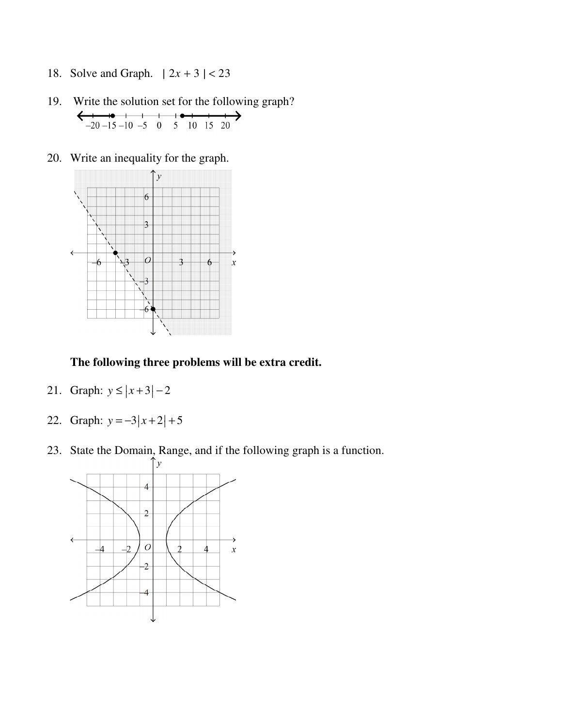- 18. Solve and Graph.  $| 2x + 3 | < 23$
- 19. Write the solution set for the following graph?  $\leftarrow$  $-20-15-10-5$  0 5 10 15 20 →
- 20. Write an inequality for the graph.



## **The following three problems will be extra credit.**

- 21. Graph:  $y \le |x+3|-2$ | | |
- 22. Graph:  $y = -3|x+2| + 5$ 
	- 23. State the Domain, Range, and if the following graph is a function.

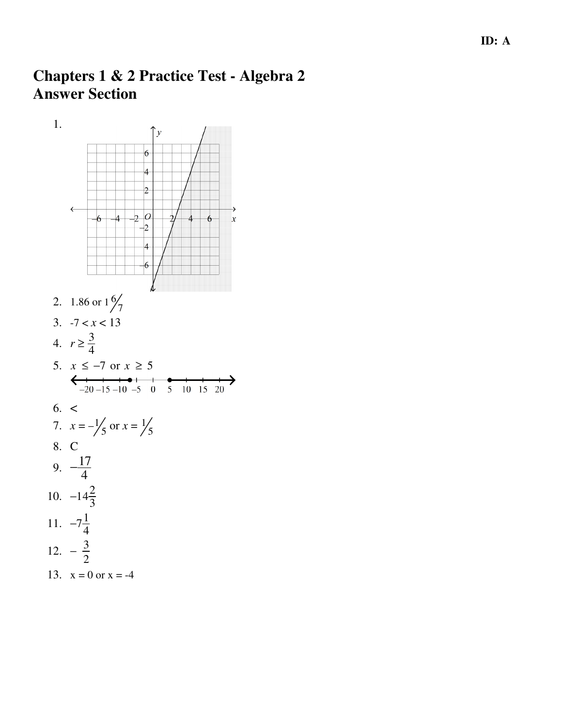## **Chapters 1 & 2 Practice Test - Algebra 2 Answer Section**

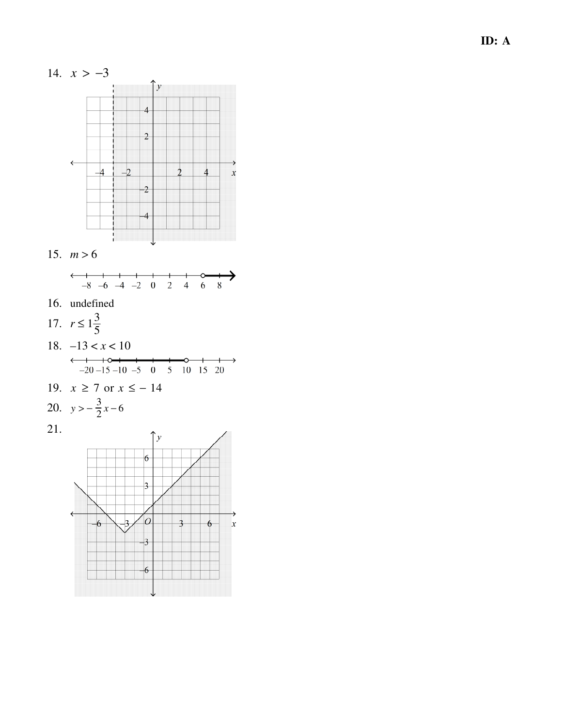

- 17.  $r \leq 1\frac{3}{5}$
- 18.  $-13 < x < 10$  $\xrightarrow{-1}$  -20 -15 -10 -5 0 5 10 15 20  $\circ$   $\longrightarrow$
- 19.  $x \ge 7$  or  $x \le -14$

20. 
$$
y > -\frac{3}{2}x - 6
$$

21.